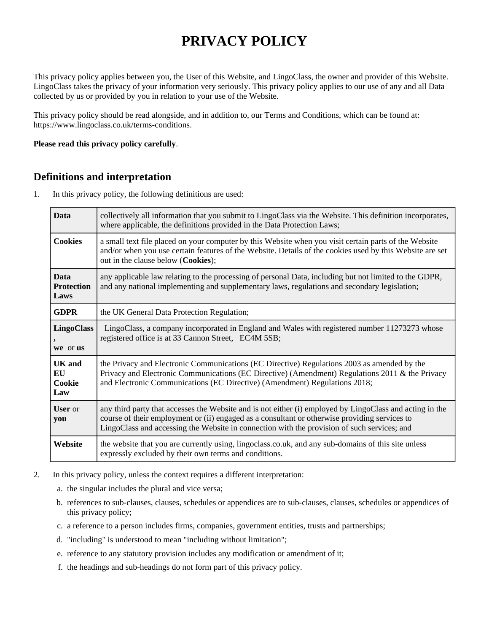# **PRIVACY POLICY**

This privacy policy applies between you, the User of this Website, and LingoClass, the owner and provider of this Website. LingoClass takes the privacy of your information very seriously. This privacy policy applies to our use of any and all Data collected by us or provided by you in relation to your use of the Website.

This privacy policy should be read alongside, and in addition to, our Terms and Conditions, which can be found at: https://www.lingoclass.co.uk/terms-conditions.

#### **Please read this privacy policy carefully**.

### **Definitions and interpretation**

1. In this privacy policy, the following definitions are used:

| <b>Data</b>                              | collectively all information that you submit to LingoClass via the Website. This definition incorporates,<br>where applicable, the definitions provided in the Data Protection Laws;                                                                                                                     |  |
|------------------------------------------|----------------------------------------------------------------------------------------------------------------------------------------------------------------------------------------------------------------------------------------------------------------------------------------------------------|--|
| <b>Cookies</b>                           | a small text file placed on your computer by this Website when you visit certain parts of the Website<br>and/or when you use certain features of the Website. Details of the cookies used by this Website are set<br>out in the clause below (Cookies);                                                  |  |
| <b>Data</b><br><b>Protection</b><br>Laws | any applicable law relating to the processing of personal Data, including but not limited to the GDPR,<br>and any national implementing and supplementary laws, regulations and secondary legislation;                                                                                                   |  |
| <b>GDPR</b>                              | the UK General Data Protection Regulation;                                                                                                                                                                                                                                                               |  |
| <b>LingoClass</b><br>we or us            | LingoClass, a company incorporated in England and Wales with registered number 11273273 whose<br>registered office is at 33 Cannon Street, EC4M 5SB;                                                                                                                                                     |  |
| <b>UK</b> and<br>EU<br>Cookie<br>Law     | the Privacy and Electronic Communications (EC Directive) Regulations 2003 as amended by the<br>Privacy and Electronic Communications (EC Directive) (Amendment) Regulations 2011 & the Privacy<br>and Electronic Communications (EC Directive) (Amendment) Regulations 2018;                             |  |
| <b>User</b> or<br>you                    | any third party that accesses the Website and is not either (i) employed by LingoClass and acting in the<br>course of their employment or (ii) engaged as a consultant or otherwise providing services to<br>LingoClass and accessing the Website in connection with the provision of such services; and |  |
| Website                                  | the website that you are currently using, lingoclass.co.uk, and any sub-domains of this site unless<br>expressly excluded by their own terms and conditions.                                                                                                                                             |  |

- 2. In this privacy policy, unless the context requires a different interpretation:
	- a. the singular includes the plural and vice versa;
	- b. references to sub-clauses, clauses, schedules or appendices are to sub-clauses, clauses, schedules or appendices of this privacy policy;
	- c. a reference to a person includes firms, companies, government entities, trusts and partnerships;
	- d. "including" is understood to mean "including without limitation";
	- e. reference to any statutory provision includes any modification or amendment of it;
	- f. the headings and sub-headings do not form part of this privacy policy.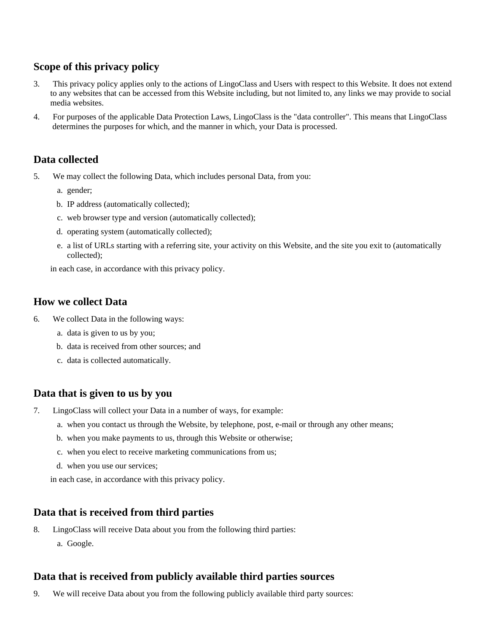# **Scope of this privacy policy**

- 3. This privacy policy applies only to the actions of LingoClass and Users with respect to this Website. It does not extend to any websites that can be accessed from this Website including, but not limited to, any links we may provide to social media websites.
- 4. For purposes of the applicable Data Protection Laws, LingoClass is the "data controller". This means that LingoClass determines the purposes for which, and the manner in which, your Data is processed.

## **Data collected**

- 5. We may collect the following Data, which includes personal Data, from you:
	- a. gender;
	- b. IP address (automatically collected);
	- c. web browser type and version (automatically collected);
	- d. operating system (automatically collected);
	- e. a list of URLs starting with a referring site, your activity on this Website, and the site you exit to (automatically collected);

in each case, in accordance with this privacy policy.

### **How we collect Data**

- 6. We collect Data in the following ways:
	- a. data is given to us by you;
	- b. data is received from other sources; and
	- c. data is collected automatically.

### **Data that is given to us by you**

- 7. LingoClass will collect your Data in a number of ways, for example:
	- a. when you contact us through the Website, by telephone, post, e-mail or through any other means;
	- b. when you make payments to us, through this Website or otherwise;
	- c. when you elect to receive marketing communications from us;
	- d. when you use our services;
	- in each case, in accordance with this privacy policy.

### **Data that is received from third parties**

- 8. LingoClass will receive Data about you from the following third parties:
	- a. Google.

### **Data that is received from publicly available third parties sources**

9. We will receive Data about you from the following publicly available third party sources: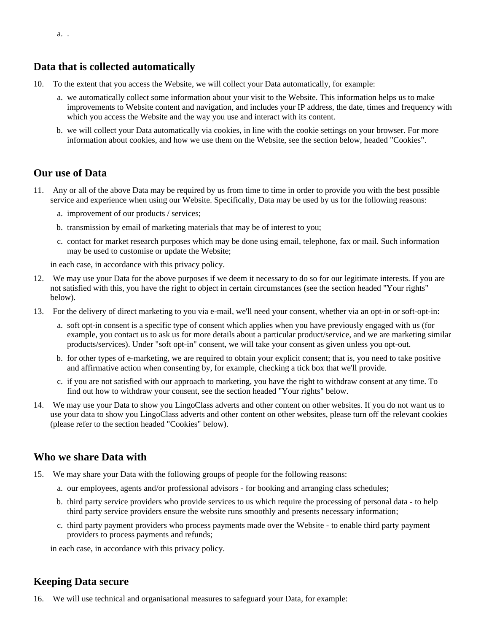### **Data that is collected automatically**

- 10. To the extent that you access the Website, we will collect your Data automatically, for example:
	- a. we automatically collect some information about your visit to the Website. This information helps us to make improvements to Website content and navigation, and includes your IP address, the date, times and frequency with which you access the Website and the way you use and interact with its content.
	- b. we will collect your Data automatically via cookies, in line with the cookie settings on your browser. For more information about cookies, and how we use them on the Website, see the section below, headed "Cookies".

### **Our use of Data**

- 11. Any or all of the above Data may be required by us from time to time in order to provide you with the best possible service and experience when using our Website. Specifically, Data may be used by us for the following reasons:
	- a. improvement of our products / services;
	- b. transmission by email of marketing materials that may be of interest to you;
	- c. contact for market research purposes which may be done using email, telephone, fax or mail. Such information may be used to customise or update the Website;

in each case, in accordance with this privacy policy.

- 12. We may use your Data for the above purposes if we deem it necessary to do so for our legitimate interests. If you are not satisfied with this, you have the right to object in certain circumstances (see the section headed "Your rights" below).
- 13. For the delivery of direct marketing to you via e-mail, we'll need your consent, whether via an opt-in or soft-opt-in:
	- a. soft opt-in consent is a specific type of consent which applies when you have previously engaged with us (for example, you contact us to ask us for more details about a particular product/service, and we are marketing similar products/services). Under "soft opt-in" consent, we will take your consent as given unless you opt-out.
	- b. for other types of e-marketing, we are required to obtain your explicit consent; that is, you need to take positive and affirmative action when consenting by, for example, checking a tick box that we'll provide.
	- c. if you are not satisfied with our approach to marketing, you have the right to withdraw consent at any time. To find out how to withdraw your consent, see the section headed "Your rights" below.
- 14. We may use your Data to show you LingoClass adverts and other content on other websites. If you do not want us to use your data to show you LingoClass adverts and other content on other websites, please turn off the relevant cookies (please refer to the section headed "Cookies" below).

### **Who we share Data with**

- 15. We may share your Data with the following groups of people for the following reasons:
	- a. our employees, agents and/or professional advisors for booking and arranging class schedules;
	- b. third party service providers who provide services to us which require the processing of personal data to help third party service providers ensure the website runs smoothly and presents necessary information;
	- c. third party payment providers who process payments made over the Website to enable third party payment providers to process payments and refunds;

in each case, in accordance with this privacy policy.

### **Keeping Data secure**

16. We will use technical and organisational measures to safeguard your Data, for example: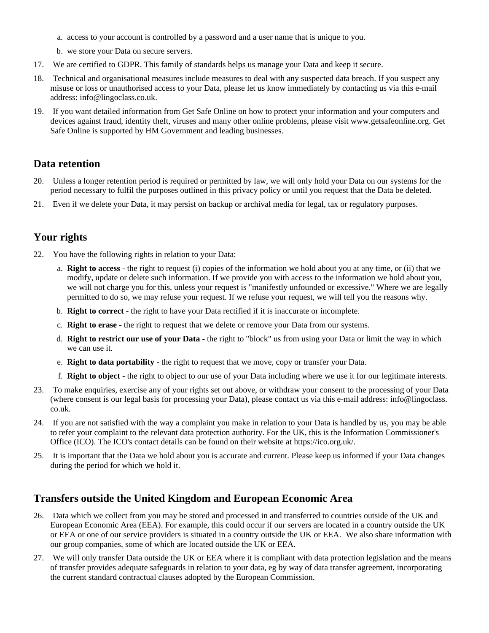- a. access to your account is controlled by a password and a user name that is unique to you.
- b. we store your Data on secure servers.
- 17. We are certified to GDPR. This family of standards helps us manage your Data and keep it secure.
- 18. Technical and organisational measures include measures to deal with any suspected data breach. If you suspect any misuse or loss or unauthorised access to your Data, please let us know immediately by contacting us via this e-mail address: info@lingoclass.co.uk.
- 19. If you want detailed information from Get Safe Online on how to protect your information and your computers and devices against fraud, identity theft, viruses and many other online problems, please visit www.getsafeonline.org. Get Safe Online is supported by HM Government and leading businesses.

### **Data retention**

- 20. Unless a longer retention period is required or permitted by law, we will only hold your Data on our systems for the period necessary to fulfil the purposes outlined in this privacy policy or until you request that the Data be deleted.
- 21. Even if we delete your Data, it may persist on backup or archival media for legal, tax or regulatory purposes.

# **Your rights**

- 22. You have the following rights in relation to your Data:
	- a. **Right to access** the right to request (i) copies of the information we hold about you at any time, or (ii) that we modify, update or delete such information. If we provide you with access to the information we hold about you, we will not charge you for this, unless your request is "manifestly unfounded or excessive." Where we are legally permitted to do so, we may refuse your request. If we refuse your request, we will tell you the reasons why.
	- b. **Right to correct** the right to have your Data rectified if it is inaccurate or incomplete.
	- c. **Right to erase** the right to request that we delete or remove your Data from our systems.
	- d. **Right to restrict our use of your Data** the right to "block" us from using your Data or limit the way in which we can use it.
	- e. **Right to data portability** the right to request that we move, copy or transfer your Data.
	- f. **Right to object** the right to object to our use of your Data including where we use it for our legitimate interests.
- 23. To make enquiries, exercise any of your rights set out above, or withdraw your consent to the processing of your Data (where consent is our legal basis for processing your Data), please contact us via this e-mail address: info@lingoclass. co.uk.
- 24. If you are not satisfied with the way a complaint you make in relation to your Data is handled by us, you may be able to refer your complaint to the relevant data protection authority. For the UK, this is the Information Commissioner's Office (ICO). The ICO's contact details can be found on their website at https://ico.org.uk/.
- 25. It is important that the Data we hold about you is accurate and current. Please keep us informed if your Data changes during the period for which we hold it.

# **Transfers outside the United Kingdom and European Economic Area**

- 26. Data which we collect from you may be stored and processed in and transferred to countries outside of the UK and European Economic Area (EEA). For example, this could occur if our servers are located in a country outside the UK or EEA or one of our service providers is situated in a country outside the UK or EEA. We also share information with our group companies, some of which are located outside the UK or EEA.
- 27. We will only transfer Data outside the UK or EEA where it is compliant with data protection legislation and the means of transfer provides adequate safeguards in relation to your data, eg by way of data transfer agreement, incorporating the current standard contractual clauses adopted by the European Commission.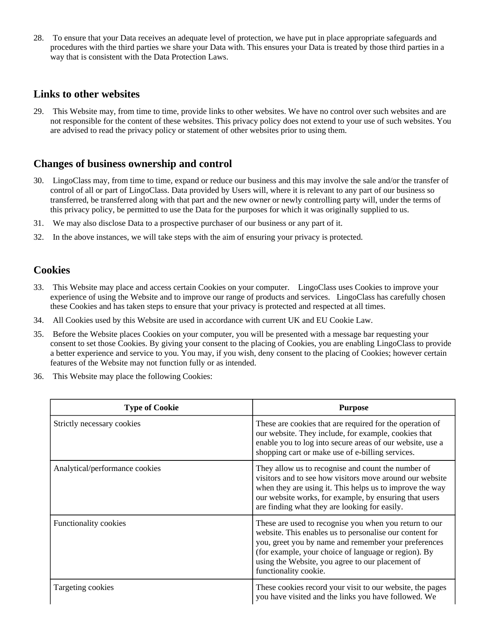28. To ensure that your Data receives an adequate level of protection, we have put in place appropriate safeguards and procedures with the third parties we share your Data with. This ensures your Data is treated by those third parties in a way that is consistent with the Data Protection Laws.

### **Links to other websites**

29. This Website may, from time to time, provide links to other websites. We have no control over such websites and are not responsible for the content of these websites. This privacy policy does not extend to your use of such websites. You are advised to read the privacy policy or statement of other websites prior to using them.

### **Changes of business ownership and control**

- 30. LingoClass may, from time to time, expand or reduce our business and this may involve the sale and/or the transfer of control of all or part of LingoClass. Data provided by Users will, where it is relevant to any part of our business so transferred, be transferred along with that part and the new owner or newly controlling party will, under the terms of this privacy policy, be permitted to use the Data for the purposes for which it was originally supplied to us.
- 31. We may also disclose Data to a prospective purchaser of our business or any part of it.
- 32. In the above instances, we will take steps with the aim of ensuring your privacy is protected.

### **Cookies**

- 33. This Website may place and access certain Cookies on your computer. LingoClass uses Cookies to improve your experience of using the Website and to improve our range of products and services. LingoClass has carefully chosen these Cookies and has taken steps to ensure that your privacy is protected and respected at all times.
- 34. All Cookies used by this Website are used in accordance with current UK and EU Cookie Law.
- 35. Before the Website places Cookies on your computer, you will be presented with a message bar requesting your consent to set those Cookies. By giving your consent to the placing of Cookies, you are enabling LingoClass to provide a better experience and service to you. You may, if you wish, deny consent to the placing of Cookies; however certain features of the Website may not function fully or as intended.
- 36. This Website may place the following Cookies:

| <b>Type of Cookie</b>          | <b>Purpose</b>                                                                                                                                                                                                                                                                                                 |
|--------------------------------|----------------------------------------------------------------------------------------------------------------------------------------------------------------------------------------------------------------------------------------------------------------------------------------------------------------|
| Strictly necessary cookies     | These are cookies that are required for the operation of<br>our website. They include, for example, cookies that<br>enable you to log into secure areas of our website, use a<br>shopping cart or make use of e-billing services.                                                                              |
| Analytical/performance cookies | They allow us to recognise and count the number of<br>visitors and to see how visitors move around our website<br>when they are using it. This helps us to improve the way<br>our website works, for example, by ensuring that users<br>are finding what they are looking for easily.                          |
| <b>Functionality cookies</b>   | These are used to recognise you when you return to our<br>website. This enables us to personalise our content for<br>you, greet you by name and remember your preferences<br>(for example, your choice of language or region). By<br>using the Website, you agree to our placement of<br>functionality cookie. |
| Targeting cookies              | These cookies record your visit to our website, the pages<br>you have visited and the links you have followed. We                                                                                                                                                                                              |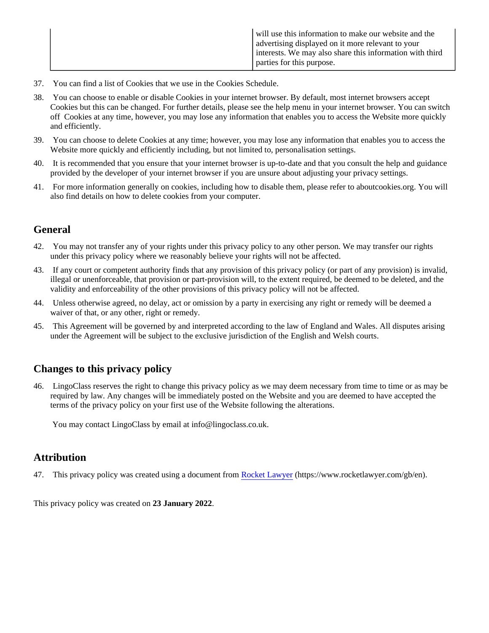- 37. You can find a list of Cookies that we use in the Cookies Schedule.
- 38. You can choose to enable or disable Cookies in your internet browser. By default, most internet browsers accept Cookies but this can be changed. For further details, please see the help menu in your internet browser. You can switch off Cookies at any time, however, you may lose any information that enables you to access the Website more quickly and efficiently.
- 39. You can choose to delete Cookies at any time; however, you may lose any information that enables you to access the Website more quickly and efficiently including, but not limited to, personalisation settings.
- 40. It is recommended that you ensure that your internet browser is up-to-date and that you consult the help and guidance provided by the developer of your internet browser if you are unsure about adjusting your privacy settings.
- 41. For more information generally on cookies, including how to disable them, please refer to aboutcookies.org. You will also find details on how to delete cookies from your computer.

### **General**

- 42. You may not transfer any of your rights under this privacy policy to any other person. We may transfer our rights under this privacy policy where we reasonably believe your rights will not be affected.
- 43. If any court or competent authority finds that any provision of this privacy policy (or part of any provision) is invalid, illegal or unenforceable, that provision or part-provision will, to the extent required, be deemed to be deleted, and the validity and enforceability of the other provisions of this privacy policy will not be affected.
- 44. Unless otherwise agreed, no delay, act or omission by a party in exercising any right or remedy will be deemed a waiver of that, or any other, right or remedy.
- 45. This Agreement will be governed by and interpreted according to the law of England and Wales. All disputes arising under the Agreement will be subject to the exclusive jurisdiction of the English and Welsh courts.

# **Changes to this privacy policy**

46. LingoClass reserves the right to change this privacy policy as we may deem necessary from time to time or as may be required by law. Any changes will be immediately posted on the Website and you are deemed to have accepted the terms of the privacy policy on your first use of the Website following the alterations.

You may contact LingoClass by email at info@lingoclass.co.uk.

### **Attribution**

47. This privacy policy was created using a document from [Rocket Lawyer](https://www.rocketlawyer.com/gb/en/) (https://www.rocketlawyer.com/gb/en).

This privacy policy was created on **23 January 2022**.